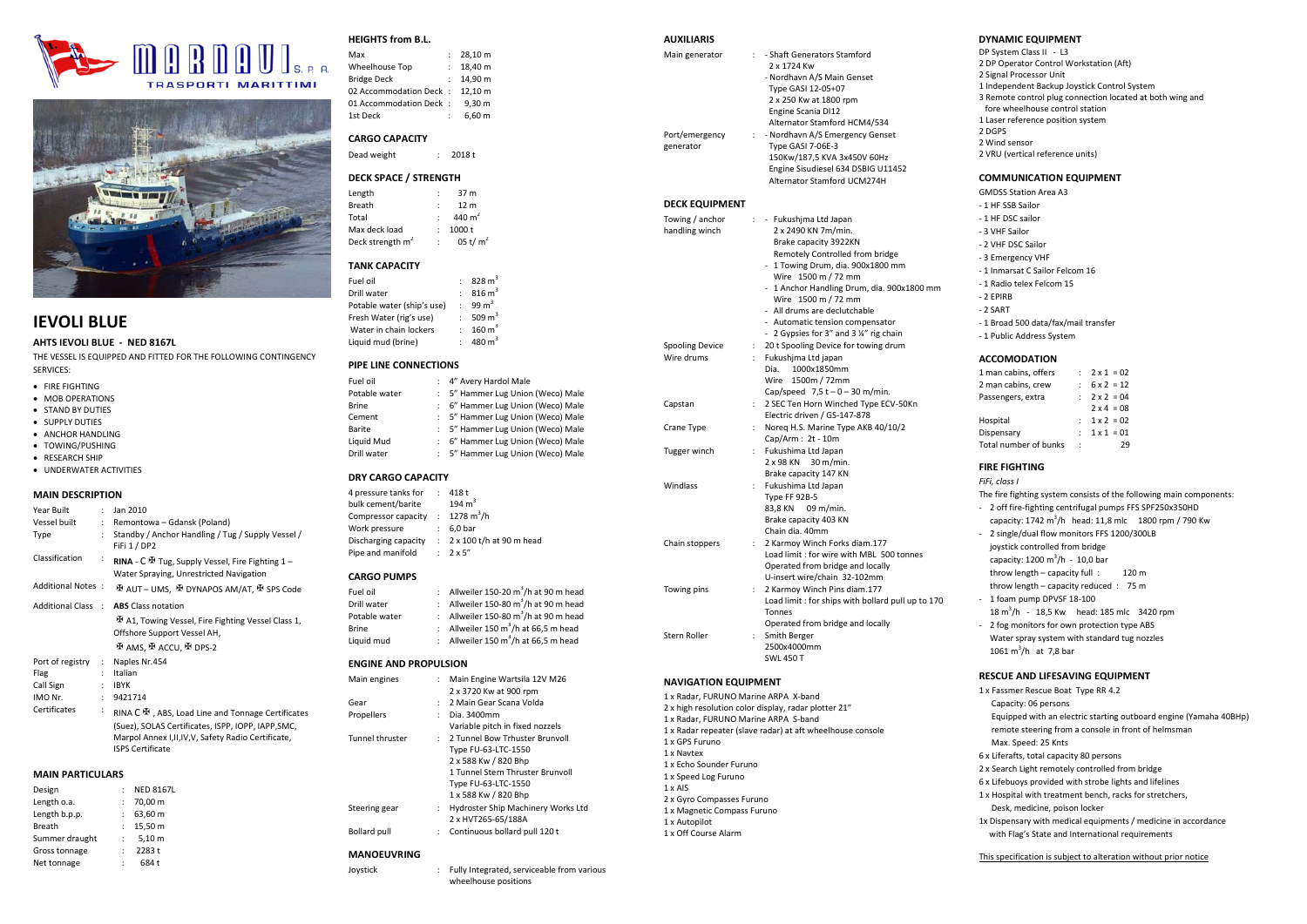



## **IEVOLI BLUE**

**AHTS IEVOLI BLUE - NED 8167L**

THE VESSEL IS EQUIPPED AND FITTED FOR THE FOLLOWING CONTINGENCY SERVICES:

- FIRE FIGHTING
- MOB OPERATIONS
- STAND BY DUTIES
- SUPPLY DUTIES
- ANCHOR HANDLING
- TOWING/PUSHING
- RESEARCH SHIP

## • UNDERWATER ACTIVITIES

#### **MAIN DESCRIPTION**

| Year Built        | $\mathbf{r}$         | Jan 2010                                                                                                                                                                                    |
|-------------------|----------------------|---------------------------------------------------------------------------------------------------------------------------------------------------------------------------------------------|
| Vessel built      | ÷.                   | Remontowa - Gdansk (Poland)                                                                                                                                                                 |
| Type              | $\mathbf{r}$         | Standby / Anchor Handling / Tug / Supply Vessel /<br>FiFi 1 / DP2                                                                                                                           |
| Classification    |                      | <b>RINA</b> - $C \oplus T$ Tug, Supply Vessel, Fire Fighting 1 –<br>Water Spraying, Unrestricted Navigation                                                                                 |
| Additional Notes: |                      | 포 AUT – UMS. 또 DYNAPOS AM/AT. 또 SPS Code                                                                                                                                                    |
|                   |                      | Additional Class : <b>ABS</b> Class notation                                                                                                                                                |
|                   |                      | 번 A1, Towing Vessel, Fire Fighting Vessel Class 1,<br>Offshore Support Vessel AH,                                                                                                           |
|                   |                      | HE AMS. HE ACCU. HE DPS-2                                                                                                                                                                   |
| Port of registry  | $\mathcal{L}$        | Naples Nr.454                                                                                                                                                                               |
| Flag              | ÷.                   | Italian                                                                                                                                                                                     |
| Call Sign         | ÷.                   | <b>IBYK</b>                                                                                                                                                                                 |
| IMO Nr.           | $\mathbf{r}$         | 9421714                                                                                                                                                                                     |
| Certificates      | $\ddot{\phantom{a}}$ | RINA C H , ABS, Load Line and Tonnage Certificates<br>(Suez), SOLAS Certificates, ISPP, IOPP, IAPP, SMC,<br>Marpol Annex I, II, IV, V, Safety Radio Certificate,<br><b>ISPS Certificate</b> |

## **MAIN PARTICULARS**

|   | <b>NED 8167L</b> |
|---|------------------|
| ÷ | 70,00 m          |
|   | 63,60 m          |
| ÷ | 15.50 m          |
| ÷ | 5.10 m           |
| ÷ | 2283 t           |
| ÷ | 684t             |
|   | ٠                |

## **HEIGHTS from B.L.**

Max : 28,10 m<br>
Wheelhouse Top : 18.40 m Wheelhouse Top<br>Bridge Deck  $: 14,90 \text{ m}$ 02 Accommodation Deck : 12,10 m 01 Accommodation Deck : 9,30 m<br>1st Deck : 660 m  $.660 m$ 

## **CARGO CAPACITY**

Dead weight : 2018 t

## **DECK SPACE / STRENGTH**

| Length                       | 37 m            |
|------------------------------|-----------------|
| Breath                       | 12 <sub>m</sub> |
| Total                        | 440 $m2$        |
| Max deck load                | $1000 +$        |
| Deck strength m <sup>2</sup> | 05 t/ $m2$      |

### **TANK CAPACITY**

| <b>TANK CAPACITY</b>                         |    |                                                 |
|----------------------------------------------|----|-------------------------------------------------|
| Fuel oil                                     |    | $828 \text{ m}^3$                               |
| Drill water                                  |    | $816 \text{ m}^3$<br>$\ddot{\phantom{0}}$       |
| Potable water (ship's use)                   |    | $: 99 \text{ m}^3$                              |
| Fresh Water (rig's use)                      |    | $: 509 \text{ m}^3$                             |
| Water in chain lockers                       |    | $160 \text{ m}^3$<br>÷                          |
| Liquid mud (brine)                           |    | 480 $m3$                                        |
| PIPE LINE CONNECTIONS                        |    |                                                 |
| Fuel oil                                     |    | 4" Avery Hardol Male                            |
| Potable water                                |    | : 5" Hammer Lug Union (Weco) Male               |
| <b>Brine</b>                                 |    | 6" Hammer Lug Union (Weco) Male                 |
| Cement                                       |    | : 5" Hammer Lug Union (Weco) Male               |
| Barite                                       |    | : 5" Hammer Lug Union (Weco) Male               |
| Liquid Mud                                   |    | : 6" Hammer Lug Union (Weco) Male               |
| Drill water                                  | ÷. | 5" Hammer Lug Union (Weco) Male                 |
| <b>DRY CARGO CAPACITY</b>                    |    |                                                 |
| 4 pressure tanks for                         |    | : 418t                                          |
| bulk cement/barite 194 m <sup>3</sup>        |    |                                                 |
| Compressor capacity : 1278 m <sup>3</sup> /h |    |                                                 |
| Work pressure                                |    | $: 6.0 \text{ bar}$                             |
|                                              |    | Discharging capacity : 2 x 100 t/h at 90 m head |
| Pipe and manifold : 2 x 5"                   |    |                                                 |
| <b>CARGO PUMPS</b>                           |    |                                                 |
| Fuel oil                                     |    | : Allweiler 150-20 $m^3/h$ at 90 m head         |

## CAI

| Fuel oil      | : Allweiler 150-20 $\text{m}^3/\text{h}$ at 90 m head |
|---------------|-------------------------------------------------------|
| Drill water   | : Allweiler 150-80 $m^3/h$ at 90 m head               |
| Potable water | : Allweiler 150-80 $m^3/h$ at 90 m head               |
| <b>Brine</b>  | : Allweiler 150 m <sup>3</sup> /h at 66,5 m head      |
| Liquid mud    | : Allweiler 150 $m^3/h$ at 66,5 m head                |
|               |                                                       |

### **ENGINE AND PROPULSION**

| Main engines        |              | Main Engine Wartsila 12V M26<br>2 x 3720 Kw at 900 rpm                                                                                                             |
|---------------------|--------------|--------------------------------------------------------------------------------------------------------------------------------------------------------------------|
| Gear                | $\mathbf{r}$ | 2 Main Gear Scana Volda                                                                                                                                            |
| Propellers          | ÷            | Dia. 3400mm<br>Variable pitch in fixed nozzels                                                                                                                     |
| Tunnel thruster     |              | : 2 Tunnel Bow Trhuster Brunvoll<br>Type FU-63-LTC-1550<br>2 x 588 Kw / 820 Bhp<br>1 Tunnel Stern Thruster Brunvoll<br>Type FU-63-LTC-1550<br>1 x 588 Kw / 820 Bhp |
| Steering gear       | ÷            | Hydroster Ship Machinery Works Ltd<br>2 x HVT265-65/188A                                                                                                           |
| <b>Bollard pull</b> | ÷            | Continuous bollard pull 120 t                                                                                                                                      |

## **MANOEUVRING**

Joystick : Fully Integrated, serviceable from various wheelhouse positions

## **AUXILIARIS**

Main generator : - Shaft Generators Stamford 2 x 1724 Kw - Nordhavn A/S Main Genset Type GASI 12-05+07 2 x 250 Kw at 1800 rpm Engine Scania DI12 Alternator Stamford HCM4/534 Port/emergency generator : - Nordhavn A/S Emergency Genset Type GASI 7-06E-3 150Kw/187,5 KVA 3x450V 60Hz Engine Sisudiesel 634 DSBIG U11452 Alternator Stamford UCM274H

> 2 x 2490 KN 7m/min. Brake capacity 3922KN

#### **DECK EQUIPMENT**

Towing / anchor handling winch : - Fukushjma Ltd Japan

Tugge

|                 |    | Remotely Controlled from bridge                   |
|-----------------|----|---------------------------------------------------|
|                 |    | - 1 Towing Drum, dia. 900x1800 mm                 |
|                 |    | Wire 1500 m / 72 mm                               |
|                 |    | - 1 Anchor Handling Drum, dia. 900x1800 mm        |
|                 |    | Wire 1500 m / 72 mm                               |
|                 |    | - All drums are declutchable                      |
|                 |    | - Automatic tension compensator                   |
|                 |    | - 2 Gypsies for 3" and 3 1/4" rig chain           |
| Spooling Device | t. | 20 t Spooling Device for towing drum              |
| Wire drums      |    | : Fukushima Ltd japan                             |
|                 |    | Dia.<br>1000x1850mm                               |
|                 |    | 1500m / 72mm<br>Wire                              |
|                 |    | Cap/speed $7.5t - 0 - 30$ m/min.                  |
| Capstan         | Ε. | 2 SEC Ten Horn Winched Type ECV-50Kn              |
|                 |    | Electric driven / GS-147-878                      |
| Crane Type      |    | : Noreg H.S. Marine Type AKB 40/10/2              |
|                 |    | Cap/Arm: 2t - 10m                                 |
| Tugger winch    |    | : Fukushima Ltd Japan                             |
|                 |    | $2 \times 98$ KN 30 m/min.                        |
|                 |    | Brake capacity 147 KN                             |
| Windlass        |    | : Fukushima Ltd Japan                             |
|                 |    | Type FF 92B-5                                     |
|                 |    | 83,8 KN 09 m/min.                                 |
|                 |    | Brake capacity 403 KN                             |
|                 |    | Chain dia. 40mm                                   |
| Chain stoppers  | Ε. | 2 Karmoy Winch Forks diam.177                     |
|                 |    | Load limit: for wire with MBL 500 tonnes          |
|                 |    | Operated from bridge and locally                  |
|                 |    | U-insert wire/chain 32-102mm                      |
| Towing pins     | ÷. | 2 Karmoy Winch Pins diam.177                      |
|                 |    | Load limit: for ships with bollard pull up to 170 |
|                 |    | Tonnes                                            |
|                 |    | Operated from bridge and locally                  |
| Stern Roller    | Ε. | Smith Berger                                      |
|                 |    | 2500x4000mm                                       |
|                 |    | <b>SWL 450 T</b>                                  |

## **NAVIGATION EQUIPMENT**

1 x Radar, FURUNO Marine ARPA X-band 2 x high resolution color display, radar plotter 21" 1 x Radar, FURUNO Marine ARPA S-band 1 x Radar repeater (slave radar) at aft wheelhouse console 1 x GPS Furuno 1 x Navtex 1 x Echo Sounder Furuno 1 x Speed Log Furuno 1 x AIS 2 x Gyro Compasses Furuno 1 x Magnetic Compass Furuno 1 x Autopilot 1 x Off Course Alarm

## **DYNAMIC EQUIPMENT**

DP System Class II - L3 2 DP Operator Control Workstation (Aft) 2 Signal Processor Unit 1 Independent Backup Joystick Control System 3 Remote control plug connection located at both wing and fore wheelhouse control station 1 Laser reference position system 2 DGPS 2 Wind sensor 2 VRU (vertical reference units)

## **COMMUNICATION EQUIPMENT**

GMDSS Station Area A3 - 1 HF SSB Sailor - 1 HF DSC sailor - 3 VHF Sailor - 2 VHF DSC Sailor - 3 Emergency VHF - 1 Inmarsat C Sailor Felcom 16 - 1 Radio telex Felcom 15 - 2 EPIRB - 2 SART - 1 Broad 500 data/fax/mail transfer - 1 Public Address System

#### **ACCOMODATION**

| 1 man cabins, offers  |   | $2 \times 1 = 02$ |
|-----------------------|---|-------------------|
| 2 man cabins, crew    |   | $6 \times 2 = 12$ |
| Passengers, extra     |   | $2 \times 2 = 04$ |
|                       |   | $2 \times 4 = 08$ |
| Hospital              |   | $1 \times 2 = 02$ |
| Dispensary            |   | $1 \times 1 = 01$ |
| Total number of bunks | ÷ | 29                |

### **FIRE FIGHTING**

*FiFi, class I* The fire fighting system consists of the following main components:

- 2 off fire-fighting centrifugal pumps FFS SPF250x350HD capacity: 1742 m<sup>3</sup>/h head: 11,8 mlc 1800 rpm / 790 Kw
- 2 single/dual flow monitors FFS 1200/300LB
- joystick controlled from bridge
- capacity:  $1200 \text{ m}^3/\text{h}$  10,0 bar
- throw length capacity full : 120 m
- throw length capacity reduced : 75 m
- 1 foam pump DPVSF 18-100 18 m<sup>3</sup>/h - 18,5 Kw head: 185 mlc 3420 rpm
- 2 fog monitors for own protection type ABS Water spray system with standard tug nozzles 1061  $m^3/h$  at 7,8 bar

#### **RESCUE AND LIFESAVING EQUIPMENT**

- 1 x Fassmer Rescue Boat Type RR 4.2 Capacity: 06 persons Equipped with an electric starting outboard engine (Yamaha 40BHp) remote steering from a console in front of helmsman Max. Speed: 25 Knts
- 6 x Liferafts, total capacity 80 persons
- 2 x Search Light remotely controlled from bridge
- 6 x Lifebuoys provided with strobe lights and lifelines
- 1 x Hospital with treatment bench, racks for stretchers, Desk, medicine, poison locker
- 1x Dispensary with medical equipments / medicine in accordance with Flag's State and International requirements

#### This specification is subject to alteration without prior notice